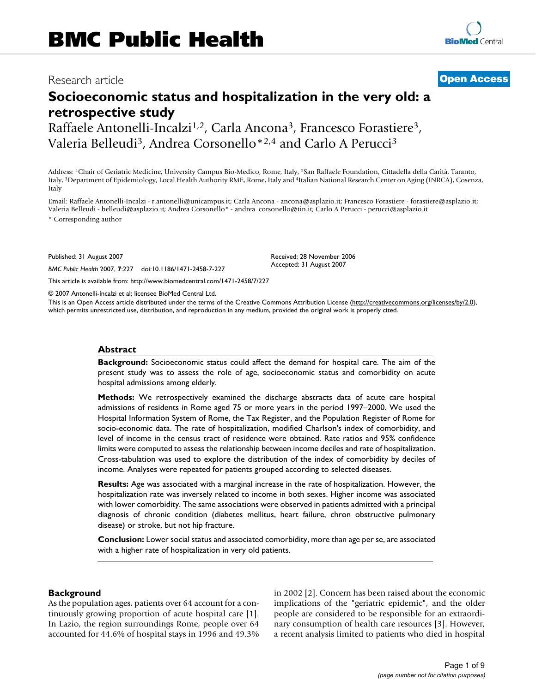# Research article **[Open Access](http://www.biomedcentral.com/info/about/charter/)**

# **Socioeconomic status and hospitalization in the very old: a retrospective study**

Raffaele Antonelli-Incalzi<sup>1,2</sup>, Carla Ancona<sup>3</sup>, Francesco Forastiere<sup>3</sup>, Valeria Belleudi3, Andrea Corsonello\*2,4 and Carlo A Perucci3

Address: 1Chair of Geriatric Medicine, University Campus Bio-Medico, Rome, Italy, 2San Raffaele Foundation, Cittadella della Carità, Taranto, Italy, 3Department of Epidemiology, Local Health Authority RME, Rome, Italy and 4Italian National Research Center on Aging (INRCA), Cosenza, Italy

Email: Raffaele Antonelli-Incalzi - r.antonelli@unicampus.it; Carla Ancona - ancona@asplazio.it; Francesco Forastiere - forastiere@asplazio.it; Valeria Belleudi - belleudi@asplazio.it; Andrea Corsonello\* - andrea\_corsonello@tin.it; Carlo A Perucci - perucci@asplazio.it

\* Corresponding author

Published: 31 August 2007

*BMC Public Health* 2007, **7**:227 doi:10.1186/1471-2458-7-227

[This article is available from: http://www.biomedcentral.com/1471-2458/7/227](http://www.biomedcentral.com/1471-2458/7/227)

© 2007 Antonelli-Incalzi et al; licensee BioMed Central Ltd.

This is an Open Access article distributed under the terms of the Creative Commons Attribution License [\(http://creativecommons.org/licenses/by/2.0\)](http://creativecommons.org/licenses/by/2.0), which permits unrestricted use, distribution, and reproduction in any medium, provided the original work is properly cited.

#### **Abstract**

**Background:** Socioeconomic status could affect the demand for hospital care. The aim of the present study was to assess the role of age, socioeconomic status and comorbidity on acute hospital admissions among elderly.

**Methods:** We retrospectively examined the discharge abstracts data of acute care hospital admissions of residents in Rome aged 75 or more years in the period 1997–2000. We used the Hospital Information System of Rome, the Tax Register, and the Population Register of Rome for socio-economic data. The rate of hospitalization, modified Charlson's index of comorbidity, and level of income in the census tract of residence were obtained. Rate ratios and 95% confidence limits were computed to assess the relationship between income deciles and rate of hospitalization. Cross-tabulation was used to explore the distribution of the index of comorbidity by deciles of income. Analyses were repeated for patients grouped according to selected diseases.

**Results:** Age was associated with a marginal increase in the rate of hospitalization. However, the hospitalization rate was inversely related to income in both sexes. Higher income was associated with lower comorbidity. The same associations were observed in patients admitted with a principal diagnosis of chronic condition (diabetes mellitus, heart failure, chron obstructive pulmonary disease) or stroke, but not hip fracture.

**Conclusion:** Lower social status and associated comorbidity, more than age per se, are associated with a higher rate of hospitalization in very old patients.

# **Background**

As the population ages, patients over 64 account for a continuously growing proportion of acute hospital care [1]. In Lazio, the region surroundings Rome, people over 64 accounted for 44.6% of hospital stays in 1996 and 49.3% in 2002 [2]. Concern has been raised about the economic implications of the "geriatric epidemic", and the older people are considered to be responsible for an extraordinary consumption of health care resources [3]. However, a recent analysis limited to patients who died in hospital

Received: 28 November 2006 Accepted: 31 August 2007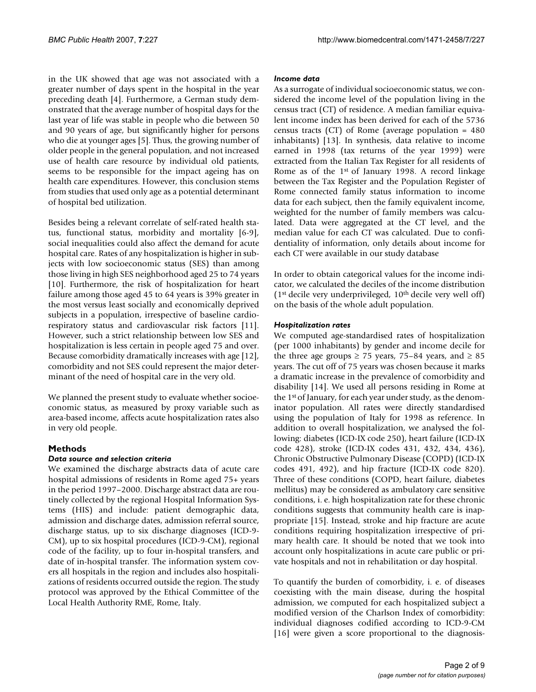in the UK showed that age was not associated with a greater number of days spent in the hospital in the year preceding death [4]. Furthermore, a German study demonstrated that the average number of hospital days for the last year of life was stable in people who die between 50 and 90 years of age, but significantly higher for persons who die at younger ages [5]. Thus, the growing number of older people in the general population, and not increased use of health care resource by individual old patients, seems to be responsible for the impact ageing has on health care expenditures. However, this conclusion stems from studies that used only age as a potential determinant of hospital bed utilization.

Besides being a relevant correlate of self-rated health status, functional status, morbidity and mortality [6-9], social inequalities could also affect the demand for acute hospital care. Rates of any hospitalization is higher in subjects with low socioeconomic status (SES) than among those living in high SES neighborhood aged 25 to 74 years [10]. Furthermore, the risk of hospitalization for heart failure among those aged 45 to 64 years is 39% greater in the most versus least socially and economically deprived subjects in a population, irrespective of baseline cardiorespiratory status and cardiovascular risk factors [11]. However, such a strict relationship between low SES and hospitalization is less certain in people aged 75 and over. Because comorbidity dramatically increases with age [12], comorbidity and not SES could represent the major determinant of the need of hospital care in the very old.

We planned the present study to evaluate whether socioeconomic status, as measured by proxy variable such as area-based income, affects acute hospitalization rates also in very old people.

# **Methods**

# *Data source and selection criteria*

We examined the discharge abstracts data of acute care hospital admissions of residents in Rome aged 75+ years in the period 1997–2000. Discharge abstract data are routinely collected by the regional Hospital Information Systems (HIS) and include: patient demographic data, admission and discharge dates, admission referral source, discharge status, up to six discharge diagnoses (ICD-9- CM), up to six hospital procedures (ICD-9-CM), regional code of the facility, up to four in-hospital transfers, and date of in-hospital transfer. The information system covers all hospitals in the region and includes also hospitalizations of residents occurred outside the region. The study protocol was approved by the Ethical Committee of the Local Health Authority RME, Rome, Italy.

# *Income data*

As a surrogate of individual socioeconomic status, we considered the income level of the population living in the census tract (CT) of residence. A median familiar equivalent income index has been derived for each of the 5736 census tracts (CT) of Rome (average population = 480 inhabitants) [13]. In synthesis, data relative to income earned in 1998 (tax returns of the year 1999) were extracted from the Italian Tax Register for all residents of Rome as of the 1st of January 1998. A record linkage between the Tax Register and the Population Register of Rome connected family status information to income data for each subject, then the family equivalent income, weighted for the number of family members was calculated. Data were aggregated at the CT level, and the median value for each CT was calculated. Due to confidentiality of information, only details about income for each CT were available in our study database

In order to obtain categorical values for the income indicator, we calculated the deciles of the income distribution  $(1<sup>st</sup> decile very underprivileged, 10<sup>th</sup> decile very well off)$ on the basis of the whole adult population.

# *Hospitalization rates*

We computed age-standardised rates of hospitalization (per 1000 inhabitants) by gender and income decile for the three age groups  $\geq$  75 years, 75–84 years, and  $\geq$  85 years. The cut off of 75 years was chosen because it marks a dramatic increase in the prevalence of comorbidity and disability [14]. We used all persons residing in Rome at the 1st of January, for each year under study, as the denominator population. All rates were directly standardised using the population of Italy for 1998 as reference. In addition to overall hospitalization, we analysed the following: diabetes (ICD-IX code 250), heart failure (ICD-IX code 428), stroke (ICD-IX codes 431, 432, 434, 436), Chronic Obstructive Pulmonary Disease (COPD) (ICD-IX codes 491, 492), and hip fracture (ICD-IX code 820). Three of these conditions (COPD, heart failure, diabetes mellitus) may be considered as ambulatory care sensitive conditions, i. e. high hospitalization rate for these chronic conditions suggests that community health care is inappropriate [15]. Instead, stroke and hip fracture are acute conditions requiring hospitalization irrespective of primary health care. It should be noted that we took into account only hospitalizations in acute care public or private hospitals and not in rehabilitation or day hospital.

To quantify the burden of comorbidity, i. e. of diseases coexisting with the main disease, during the hospital admission, we computed for each hospitalized subject a modified version of the Charlson Index of comorbidity: individual diagnoses codified according to ICD-9-CM [16] were given a score proportional to the diagnosis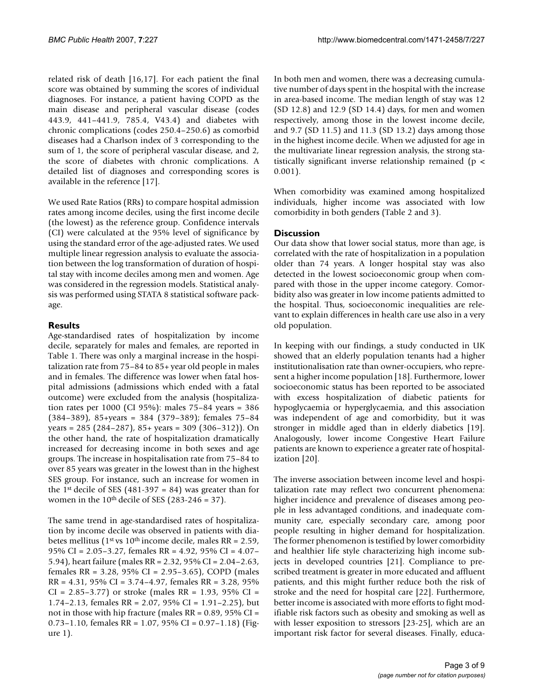related risk of death [16,17]. For each patient the final score was obtained by summing the scores of individual diagnoses. For instance, a patient having COPD as the main disease and peripheral vascular disease (codes 443.9, 441–441.9, 785.4, V43.4) and diabetes with chronic complications (codes 250.4–250.6) as comorbid diseases had a Charlson index of 3 corresponding to the sum of 1, the score of peripheral vascular disease, and 2, the score of diabetes with chronic complications. A detailed list of diagnoses and corresponding scores is available in the reference [17].

We used Rate Ratios (RRs) to compare hospital admission rates among income deciles, using the first income decile (the lowest) as the reference group. Confidence intervals (CI) were calculated at the 95% level of significance by using the standard error of the age-adjusted rates. We used multiple linear regression analysis to evaluate the association between the log transformation of duration of hospital stay with income deciles among men and women. Age was considered in the regression models. Statistical analysis was performed using STATA 8 statistical software package.

# **Results**

Age-standardised rates of hospitalization by income decile, separately for males and females, are reported in Table 1. There was only a marginal increase in the hospitalization rate from 75–84 to 85+ year old people in males and in females. The difference was lower when fatal hospital admissions (admissions which ended with a fatal outcome) were excluded from the analysis (hospitalization rates per 1000 (CI 95%): males 75–84 years = 386 (384–389), 85+years = 384 (379–389); females 75–84 years = 285 (284–287), 85+ years = 309 (306–312)). On the other hand, the rate of hospitalization dramatically increased for decreasing income in both sexes and age groups. The increase in hospitalisation rate from 75–84 to over 85 years was greater in the lowest than in the highest SES group. For instance, such an increase for women in the 1<sup>st</sup> decile of SES (481-397 = 84) was greater than for women in the  $10<sup>th</sup>$  decile of SES (283-246 = 37).

The same trend in age-standardised rates of hospitalization by income decile was observed in patients with diabetes mellitus (1<sup>st</sup> vs 10<sup>th</sup> income decile, males  $RR = 2.59$ , 95% CI = 2.05–3.27, females RR = 4.92, 95% CI = 4.07– 5.94), heart failure (males RR = 2.32, 95% CI = 2.04–2.63, females RR = 3.28, 95% CI = 2.95–3.65), COPD (males RR = 4.31, 95% CI = 3.74–4.97, females RR = 3.28, 95%  $CI = 2.85 - 3.77$  or stroke (males RR = 1.93, 95% CI = 1.74–2.13, females RR = 2.07, 95% CI = 1.91–2.25), but not in those with hip fracture (males  $RR = 0.89$ , 95% CI = 0.73–1.10, females RR = 1.07, 95% CI = 0.97–1.18) (Figure 1).

In both men and women, there was a decreasing cumulative number of days spent in the hospital with the increase in area-based income. The median length of stay was 12 (SD 12.8) and 12.9 (SD 14.4) days, for men and women respectively, among those in the lowest income decile, and 9.7 (SD 11.5) and 11.3 (SD 13.2) days among those in the highest income decile. When we adjusted for age in the multivariate linear regression analysis, the strong statistically significant inverse relationship remained (p < 0.001).

When comorbidity was examined among hospitalized individuals, higher income was associated with low comorbidity in both genders (Table 2 and 3).

# **Discussion**

Our data show that lower social status, more than age, is correlated with the rate of hospitalization in a population older than 74 years. A longer hospital stay was also detected in the lowest socioeconomic group when compared with those in the upper income category. Comorbidity also was greater in low income patients admitted to the hospital. Thus, socioeconomic inequalities are relevant to explain differences in health care use also in a very old population.

In keeping with our findings, a study conducted in UK showed that an elderly population tenants had a higher institutionalisation rate than owner-occupiers, who represent a higher income population [18]. Furthermore, lower socioeconomic status has been reported to be associated with excess hospitalization of diabetic patients for hypoglycaemia or hyperglycaemia, and this association was independent of age and comorbidity, but it was stronger in middle aged than in elderly diabetics [19]. Analogously, lower income Congestive Heart Failure patients are known to experience a greater rate of hospitalization [20].

The inverse association between income level and hospitalization rate may reflect two concurrent phenomena: higher incidence and prevalence of diseases among people in less advantaged conditions, and inadequate community care, especially secondary care, among poor people resulting in higher demand for hospitalization. The former phenomenon is testified by lower comorbidity and healthier life style characterizing high income subjects in developed countries [21]. Compliance to prescribed treatment is greater in more educated and affluent patients, and this might further reduce both the risk of stroke and the need for hospital care [22]. Furthermore, better income is associated with more efforts to fight modifiable risk factors such as obesity and smoking as well as with lesser exposition to stressors [23-25], which are an important risk factor for several diseases. Finally, educa-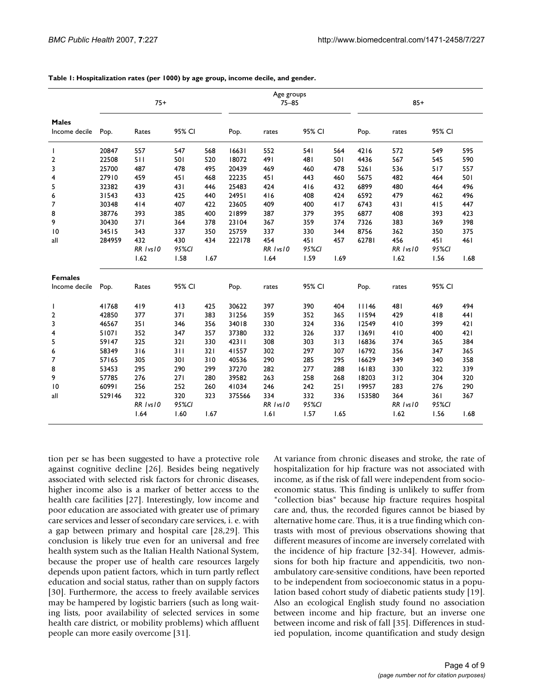|                               |        | $75+$     |            |              |        | Age groups<br>$75 - 85$ |            | $85+$ |        |            |        |      |  |
|-------------------------------|--------|-----------|------------|--------------|--------|-------------------------|------------|-------|--------|------------|--------|------|--|
| <b>Males</b><br>Income decile | Pop.   | Rates     | 95% CI     |              | Pop.   | rates                   | 95% CI     |       | Pop.   | rates      | 95% CI |      |  |
| $\mathbf{I}$                  | 20847  | 557       | 547        | 568          | 16631  | 552                     | 54 I       | 564   | 4216   | 572        | 549    | 595  |  |
| $\overline{2}$                | 22508  | 511       | 501        | 520          | 18072  | 491                     | 481        | 501   | 4436   | 567        | 545    | 590  |  |
| 3                             | 25700  | 487       | 478        | 495          | 20439  | 469                     | 460        | 478   | 5261   | 536        | 517    | 557  |  |
| 4                             | 27910  | 459       | 45 I       | 468          | 22235  | 45 I                    | 443        | 460   | 5675   | 482        | 464    | 501  |  |
| 5                             | 32382  | 439       | 431        | 446          | 25483  | 424                     | 416        | 432   | 6899   | 480        | 464    | 496  |  |
| 6                             | 31543  | 433       | 425        | 440          | 24951  | 416                     | 408        | 424   |        | 479        | 462    | 496  |  |
| 7                             | 30348  | 414       | 407        | 23605<br>422 |        | 409                     | 400        | 417   | 6743   | 431        | 415    | 447  |  |
| 8                             | 38776  | 393       | 385        | 400<br>21899 |        | 387                     | 379        | 395   | 6877   | 408        | 393    |      |  |
| 9                             | 30430  | 371       | 364        | 378<br>23104 |        | 367                     | 359        | 374   | 7326   | 383        | 369    | 398  |  |
| $\overline{10}$               | 34515  | 343       | 337        | 350          | 25759  | 337                     | 330        | 344   | 8756   | 362        | 350    | 375  |  |
| all                           | 284959 | 432       | 430<br>434 |              | 222178 | 454                     | 451<br>457 |       | 62781  | 456        | 451    | 46 I |  |
|                               |        | RR Ivs IO | 95%CI      |              |        | RR Ivs IO               | 95%CI      |       |        | RR Ivs IO  | 95%CI  |      |  |
|                               |        | 1.62      | 1.58       | 1.67         |        | 1.64                    | 1.59       | 1.69  |        | 1.62       | 1.56   | 1.68 |  |
| <b>Females</b>                |        |           |            |              |        |                         |            |       |        |            |        |      |  |
| Income decile                 | Pop.   | Rates     | 95% CI     |              | Pop.   | rates                   | 95% CI     |       | Pop.   | rates      | 95% CI |      |  |
| I.                            | 41768  | 419       | 413        | 425          | 30622  | 397                     | 390        | 404   | 11146  | 481        | 469    | 494  |  |
| 2                             | 42850  | 377       | 371        | 383          | 31256  | 359                     | 352        | 365   | 11594  | 429        | 418    | 441  |  |
| 3                             | 46567  | 351       | 346        | 356          | 34018  | 330                     | 324        | 336   | 12549  | 410        | 399    | 421  |  |
| 4                             | 51071  | 352       | 347        | 357          | 37380  | 332                     | 326        | 337   | 13691  | 410        | 400    | 421  |  |
| 5                             | 59147  | 325       | 321        | 330          | 42311  | 308                     | 303        | 313   | 16836  | 374        | 365    | 384  |  |
| 6                             | 58349  | 316       | 311        | 321          | 41557  | 302                     | 297        | 307   | 16792  | 356        | 347    | 365  |  |
| 7                             | 57165  | 305       | 301        | 310          | 40536  | 290                     | 285        | 295   | 16629  | 349        | 340    | 358  |  |
| 8                             | 53453  | 295       | 290        | 299          | 37270  | 282                     | 277        | 288   | 16183  | 330        | 322    | 339  |  |
| 9                             | 57785  | 276       | 271        | 280          | 39582  | 263                     | 258        | 268   | 18203  | 312        | 304    | 320  |  |
| 10                            | 60991  | 256       | 252        | 260          | 41034  | 246                     | 242        | 251   | 19957  | 283        | 276    | 290  |  |
| all                           | 529146 | 322       | 320<br>323 |              | 375566 | 334                     | 332<br>336 |       | 153580 | 364<br>361 |        | 367  |  |
|                               |        | RR Ivs IO | 95%CI      |              |        | RR Ivs IO               | 95%CI      |       |        | RR Ivs IO  | 95%CI  |      |  |
|                               |        |           |            | 1.67         |        |                         |            |       |        |            |        |      |  |

**Table 1: Hospitalization rates (per 1000) by age group, income decile, and gender.**

tion per se has been suggested to have a protective role against cognitive decline [26]. Besides being negatively associated with selected risk factors for chronic diseases, higher income also is a marker of better access to the health care facilities [27]. Interestingly, low income and poor education are associated with greater use of primary care services and lesser of secondary care services, i. e. with a gap between primary and hospital care [28,29]. This conclusion is likely true even for an universal and free health system such as the Italian Health National System, because the proper use of health care resources largely depends upon patient factors, which in turn partly reflect education and social status, rather than on supply factors [30]. Furthermore, the access to freely available services may be hampered by logistic barriers (such as long waiting lists, poor availability of selected services in some health care district, or mobility problems) which affluent people can more easily overcome [31].

At variance from chronic diseases and stroke, the rate of hospitalization for hip fracture was not associated with income, as if the risk of fall were independent from socioeconomic status. This finding is unlikely to suffer from "collection bias" because hip fracture requires hospital care and, thus, the recorded figures cannot be biased by alternative home care. Thus, it is a true finding which contrasts with most of previous observations showing that different measures of income are inversely correlated with the incidence of hip fracture [32-34]. However, admissions for both hip fracture and appendicitis, two nonambulatory care-sensitive conditions, have been reported to be independent from socioeconomic status in a population based cohort study of diabetic patients study [19]. Also an ecological English study found no association between income and hip fracture, but an inverse one between income and risk of fall [35]. Differences in studied population, income quantification and study design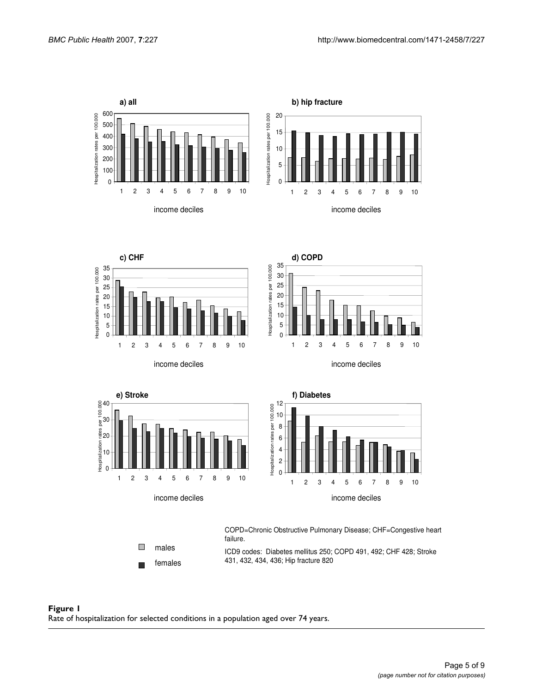









failure.





 $\Box$ 

П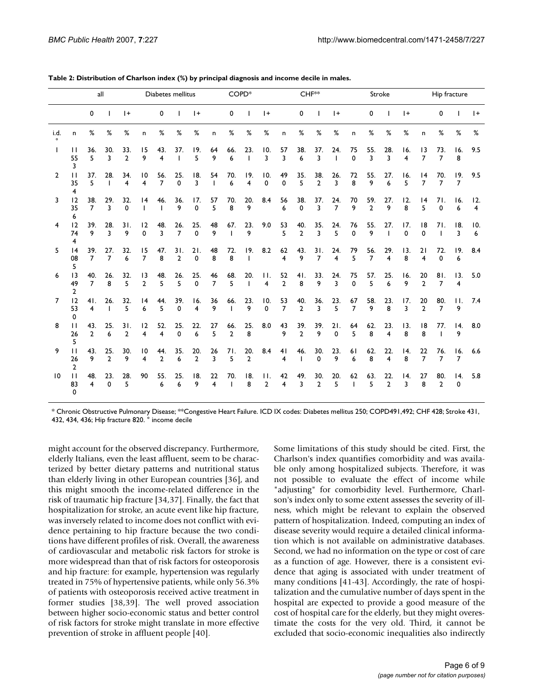|                 | all                                  |                       |                       |                       | Diabetes mellitus                          |                       |                       |                       |                      |                       | COPD <sup>*</sup>     |                                |                      |                       | CHF <sup>**</sup>     |                       | Stroke               |                       |                                |                        |                      | Hip fracture          |                   |                       |  |
|-----------------|--------------------------------------|-----------------------|-----------------------|-----------------------|--------------------------------------------|-----------------------|-----------------------|-----------------------|----------------------|-----------------------|-----------------------|--------------------------------|----------------------|-----------------------|-----------------------|-----------------------|----------------------|-----------------------|--------------------------------|------------------------|----------------------|-----------------------|-------------------|-----------------------|--|
|                 |                                      | 0                     | T                     | $ +$                  |                                            | 0                     | ı                     | $ +$                  |                      | $\mathbf 0$           | ı                     | $ +$                           |                      | 0                     | ı                     | $ +$                  |                      | 0                     | ı                              | $ +$                   |                      | 0                     | ı                 | $ +$                  |  |
| i.d.            | n                                    | ℅                     | %                     | ℅                     | n                                          | %                     | %                     | %                     | n                    | %                     | %                     | %                              | n                    | $\%$                  | %                     | %                     | n                    | $\%$                  | $\%$                           | $\%$                   | n                    | $\%$                  | $\%$              | %                     |  |
| ı               | $\mathbf{H}$<br>55<br>3              | 36.<br>5              | 30.<br>3              | 33.<br>$\overline{2}$ | 15<br>9                                    | 43.<br>4              | 37.<br>$\mathbf{I}$   | 19.<br>5              | 64<br>9              | 66.<br>6              | 23.<br>$\mathbf{I}$   | 10.<br>3                       | 57<br>3              | 38.<br>6              | 37.<br>3              | 24.<br>$\mathbf{I}$   | 75<br>$\mathbf 0$    | 55.<br>3              | 28.<br>$\overline{3}$          | 16.<br>4               | 3<br>$\overline{7}$  | 73.<br>7              | 16.<br>8          | 9.5                   |  |
| $\overline{2}$  | $\mathbf{H}$<br>35<br>4              | 37.<br>5              | 28.<br>$\mathbf{I}$   | 34.<br>4              | 10<br>$\overline{\mathbf{4}}$              | 56.<br>$\overline{7}$ | 25.<br>0              | 18.<br>3              | 54<br>$\mathbf{I}$   | 70.<br>6              | 19.<br>$\overline{4}$ | 10.<br>$\mathbf 0$             | 49<br>0              | 35.<br>5              | 38.<br>$\overline{2}$ | 26.<br>3              | 72<br>8              | 55.<br>9              | 27.<br>6                       | 16.<br>5               | 4<br>$\overline{7}$  | 70.<br>$\overline{7}$ | 19.<br>7          | 9.5                   |  |
| 3               | 12<br>35<br>6                        | 38.<br>$\overline{7}$ | 29.<br>3              | 32.<br>$\mathbf 0$    | 4<br>$\mathbf{I}$                          | 46.                   | 36.<br>9              | 17.<br>$\mathbf 0$    | 57<br>5              | 70.<br>8              | 20.<br>9              | 8.4                            | 56<br>6              | 38.<br>$\mathbf 0$    | 37.<br>3              | 24.<br>$\overline{7}$ | 70<br>9              | 59.<br>$\overline{2}$ | 27.<br>9                       | 12.<br>8               | 4<br>5               | 71.<br>0              | 16.<br>6          | 12.<br>$\overline{4}$ |  |
| $\overline{4}$  | 12<br>74<br>4                        | 39.<br>9              | 28.<br>3              | 31.<br>9              | 12<br>$\Omega$                             | 48.<br>3              | 26.<br>$\overline{7}$ | 25.<br>$\mathbf 0$    | 48<br>9              | 67.<br>$\overline{1}$ | 23.<br>9              | 9.0                            | 53<br>5              | 40.<br>$\overline{a}$ | 35.<br>3              | 24.<br>5              | 76<br>0              | 55.<br>9              | 27.<br>$\mathbf{I}$            | 17.<br>0               | 18<br>0              | 71.<br>$\mathbf{I}$   | 18.<br>3          | 10.<br>6              |  |
| 5               | 4<br>08<br>5                         | 39.<br>$\overline{7}$ | 27.<br>$\overline{7}$ | 32.<br>6              | 15<br>$\overline{7}$                       | 47.<br>8              | 31.<br>$\overline{2}$ | 21.<br>0              | 48<br>8              | 72.<br>8              | 19.<br>T              | 8.2                            | 62<br>4              | 43.<br>9              | 31.<br>$\overline{7}$ | 24.<br>4              | 79<br>5              | 56.<br>$\overline{7}$ | 29.<br>$\overline{4}$          | 13.<br>8               | 21<br>$\overline{4}$ | 72.<br>$\mathbf 0$    | 19.<br>6          | 8.4                   |  |
| 6               | 3<br>49<br>2                         | 40.<br>$\overline{7}$ | 26.<br>8              | 32.<br>5              | 3<br>$\overline{2}$                        | 48.<br>5              | 26.<br>5              | 25.<br>$\mathbf 0$    | 46<br>$\overline{7}$ | 68.<br>5              | 20.<br>$\mathbf{I}$   | $\mathbf{H}$ .<br>4            | 52<br>$\overline{a}$ | 41.<br>8              | 33.<br>9              | 24.<br>3              | 75<br>0              | 57.<br>5              | 25.<br>6                       | 16.<br>9               | 20<br>$\overline{2}$ | 81.<br>7              | 13.<br>4          | 5.0                   |  |
| 7               | 12<br>53<br>0                        | 41.<br>$\overline{4}$ | 26.<br>$\mathbf{I}$   | 32.<br>5              | 4<br>6                                     | 44.<br>5              | 39.<br>0              | 16.<br>4              | 36<br>9              | 66.<br>I              | 23.<br>9              | 10.<br>0                       | 53<br>$\overline{7}$ | 40.<br>$\overline{2}$ | 36.<br>3              | 23.<br>5              | 67<br>$\overline{7}$ | 58.<br>9              | 23.<br>8                       | 17.<br>3               | 20<br>$\overline{2}$ | 80.<br>$\overline{7}$ | $\mathbf{H}$<br>9 | 7.4                   |  |
| 8               | $\mathbf{H}$<br>26<br>5              | 43.<br>$\overline{2}$ | 25.<br>6              | 31.<br>$\overline{2}$ | 12<br>4                                    | 52.<br>4              | 25.<br>0              | 22.<br>6              | 27<br>5              | 66.<br>$\overline{2}$ | 25.<br>8              | 8.0                            | 43<br>9              | 39.<br>$\overline{2}$ | 39.<br>9              | 21.<br>0              | 64<br>5              | 62.<br>8              | 23.<br>$\overline{4}$          | 13.<br>8               | 8<br>8               | 77.<br>$\mathbf{I}$   | 4.<br>9           | 8.0                   |  |
| 9               | $\mathbf{H}$<br>26<br>$\overline{2}$ | 43.<br>9              | 25.<br>$\overline{2}$ | 30.<br>9              | $\overline{10}$<br>$\overline{\mathbf{4}}$ | 44.<br>$\overline{2}$ | 35.<br>6              | 20.<br>$\overline{2}$ | 26<br>3              | 71.<br>5              | 20.<br>$\overline{2}$ | 8.4                            | 41<br>4              | 46.<br>T              | 30.<br>0              | 23.<br>9              | 61<br>6              | 62.<br>8              | 22.<br>$\overline{\mathbf{4}}$ | 4.<br>8                | 22<br>$\overline{7}$ | 76.<br>7              | 16.<br>7          | 6.6                   |  |
| $\overline{10}$ | $\mathbf{H}$<br>83<br>$\mathbf 0$    | 48.<br>4              | 23.<br>0              | 28.<br>5              | 90                                         | 55.<br>6              | 25.<br>6              | 18.<br>9              | 22<br>4              | 70.                   | 18.<br>8              | $\mathbf{H}$<br>$\overline{2}$ | 42<br>4              | 49.<br>3              | 30.<br>$\overline{2}$ | 20.<br>5              | 62<br>I              | 63.<br>5              | 22.<br>$\overline{a}$          | $\overline{14}$ .<br>3 | 27<br>8              | 80.<br>$\overline{2}$ | 4.<br>0           | 5.8                   |  |

**Table 2: Distribution of Charlson index (%) by principal diagnosis and income decile in males.**

\* Chronic Obstructive Pulmonary Disease; \*\*Congestive Heart Failure. ICD IX codes: Diabetes mellitus 250; COPD491,492; CHF 428; Stroke 431, 432, 434, 436; Hip fracture 820. ° income decile

might account for the observed discrepancy. Furthermore, elderly Italians, even the least affluent, seem to be characterized by better dietary patterns and nutritional status than elderly living in other European countries [36], and this might smooth the income-related difference in the risk of traumatic hip fracture [34,37]. Finally, the fact that hospitalization for stroke, an acute event like hip fracture, was inversely related to income does not conflict with evidence pertaining to hip fracture because the two conditions have different profiles of risk. Overall, the awareness of cardiovascular and metabolic risk factors for stroke is more widespread than that of risk factors for osteoporosis and hip fracture: for example, hypertension was regularly treated in 75% of hypertensive patients, while only 56.3% of patients with osteoporosis received active treatment in former studies [38,39]. The well proved association between higher socio-economic status and better control of risk factors for stroke might translate in more effective prevention of stroke in affluent people [40].

Some limitations of this study should be cited. First, the Charlson's index quantifies comorbidity and was available only among hospitalized subjects. Therefore, it was not possible to evaluate the effect of income while "adjusting" for comorbidity level. Furthermore, Charlson's index only to some extent assesses the severity of illness, which might be relevant to explain the observed pattern of hospitalization. Indeed, computing an index of disease severity would require a detailed clinical information which is not available on administrative databases. Second, we had no information on the type or cost of care as a function of age. However, there is a consistent evidence that aging is associated with under treatment of many conditions [41-43]. Accordingly, the rate of hospitalization and the cumulative number of days spent in the hospital are expected to provide a good measure of the cost of hospital care for the elderly, but they might overestimate the costs for the very old. Third, it cannot be excluded that socio-economic inequalities also indirectly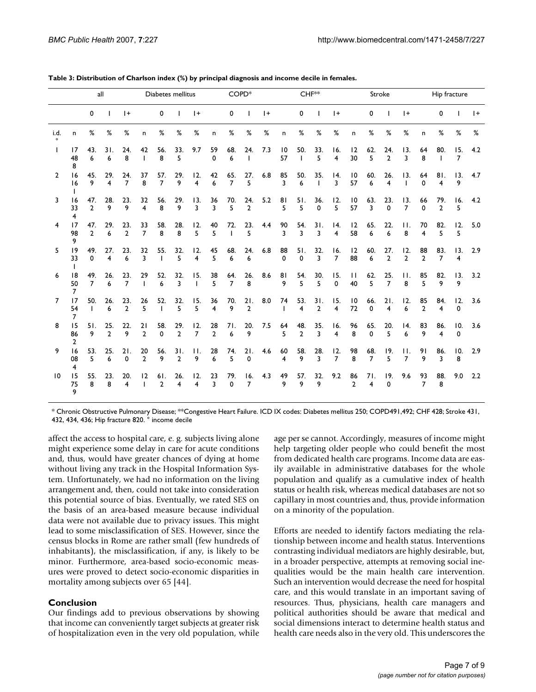|                | all                        |                       |                       |                       | Diabetes mellitus             |                       |                       |                       |                      | COPD <sup>*</sup>     |                       |      |                       |                       | $CHF**$               |                                |                       |                                | Stroke                |                       | Hip fracture         |                       |                                |      |  |
|----------------|----------------------------|-----------------------|-----------------------|-----------------------|-------------------------------|-----------------------|-----------------------|-----------------------|----------------------|-----------------------|-----------------------|------|-----------------------|-----------------------|-----------------------|--------------------------------|-----------------------|--------------------------------|-----------------------|-----------------------|----------------------|-----------------------|--------------------------------|------|--|
|                |                            | $\mathbf 0$           | T                     | $ +$                  |                               | 0                     | ш                     | $ +$                  |                      | $\mathbf 0$           | ı                     | $ +$ |                       | 0                     | ı                     | $ +$                           |                       | $\mathbf 0$                    |                       | $ +$                  |                      | $\mathbf 0$           |                                | $ +$ |  |
| i.d.           | n                          | %                     | $\%$                  | $\%$                  | n                             | %                     | %                     | %                     | n                    | %                     | $\%$                  | $\%$ | n                     | $\%$                  | $\%$                  | $\%$                           | n                     | $\%$                           | $\%$                  | $\%$                  | n                    | $\%$                  | $\%$                           | %    |  |
| ı              | 17<br>48<br>8              | 43.<br>6              | 31.<br>6              | 24.<br>8              | 42<br>$\mathsf{I}$            | 56.<br>8              | 33.<br>5              | 9.7                   | 59<br>0              | 68.<br>6              | 24.<br>T              | 7.3  | $\overline{10}$<br>57 | 50.<br>$\mathbf{I}$   | 33.<br>5              | 16.<br>$\overline{\mathbf{4}}$ | 12<br>30              | 62.<br>5                       | 24.<br>$\overline{a}$ | 13.<br>3              | 64<br>8              | 80.                   | 15.<br>$\overline{7}$          | 4.2  |  |
| $\overline{2}$ | 16<br>16                   | 45.<br>9              | 29.<br>4              | 24.<br>$\overline{7}$ | 37<br>8                       | 57.<br>$\overline{7}$ | 29.<br>9              | 12.<br>4              | 42<br>6              | 65.<br>$\overline{7}$ | 27.<br>5              | 6.8  | 85<br>3               | 50.<br>6              | 35.<br>$\mathbf{I}$   | 4.<br>3                        | $\overline{10}$<br>57 | 60.<br>6                       | 26.<br>$\overline{4}$ | 13.<br>T              | 64<br>$\mathbf 0$    | 81.<br>$\overline{4}$ | 13.<br>9                       | 4.7  |  |
| 3              | 16<br>33<br>4              | 47.<br>$\overline{2}$ | 28.<br>9              | 23.<br>9              | 32<br>$\overline{\mathbf{4}}$ | 56.<br>8              | 29.<br>9              | 13.<br>3              | 36<br>3              | 70.<br>5              | 24.<br>$\overline{2}$ | 5.2  | 81<br>5               | 51.<br>5              | 36.<br>$\mathbf 0$    | 12.<br>5                       | $\overline{10}$<br>57 | 63.<br>3                       | 23.<br>$\mathbf 0$    | 13.<br>$\overline{7}$ | 66<br>0              | 79.<br>$\mathbf{2}$   | 16.<br>5                       | 4.2  |  |
| 4              | 17<br>98<br>9              | 47.<br>$\overline{2}$ | 29.<br>6              | 23.<br>$\overline{2}$ | 33<br>$\overline{7}$          | 58.<br>8              | 28.<br>8              | 12.<br>5              | 40<br>5              | 72.<br>I.             | 23.<br>5              | 4.4  | 90<br>3               | 54.<br>3              | 31.<br>3              | 14.<br>4                       | 12<br>58              | 65.<br>6                       | 22.<br>6              | $\mathbf{H}$ .<br>8   | 70<br>$\overline{4}$ | 82.<br>5              | 12.<br>5                       | 5.0  |  |
| 5              | 19<br>33                   | 49.<br>$\mathbf 0$    | 27.<br>$\overline{4}$ | 23.<br>6              | 32<br>3                       | 55.<br>T              | 32.<br>5              | 12.<br>4              | 45<br>5              | 68.<br>6              | 24.<br>6              | 6.8  | 88<br>$\mathbf 0$     | 51.<br>0              | 32.<br>3              | 16.<br>$\overline{7}$          | 12<br>88              | 60.<br>6                       | 27.<br>$\overline{2}$ | 12.<br>$\overline{2}$ | 88<br>$\overline{2}$ | 83.<br>$\overline{7}$ | 13.<br>$\overline{\mathbf{4}}$ | 2.9  |  |
| 6              | 18<br>50<br>7              | 49.<br>$\overline{7}$ | 26.<br>6              | 23.<br>$\overline{7}$ | 29<br>$\mathbf{I}$            | 52.<br>6              | 32.<br>3              | 15.                   | 38<br>5              | 64.<br>7              | 26.<br>8              | 8.6  | 81<br>9               | 54.<br>5              | 30.<br>5              | 15.<br>$\mathbf 0$             | $\mathbf{H}$<br>40    | 62.<br>5                       | 25.<br>$\overline{7}$ | $\mathbf{H}$ .<br>8   | 85<br>5              | 82.<br>9              | 13.<br>9                       | 3.2  |  |
| 7              | 17<br>54<br>7              | 50.<br>$\mathbf{I}$   | 26.<br>6              | 23.<br>$\overline{2}$ | 26<br>5                       | 52.<br>T              | 32.<br>5              | 15.<br>5              | 36<br>4              | 70.<br>9              | 21.<br>$\overline{2}$ | 8.0  | 74<br>$\mathbf{I}$    | 53.<br>4              | 31.<br>$\overline{2}$ | 15.<br>4                       | $\overline{10}$<br>72 | 66.<br>$\mathbf 0$             | 21.<br>$\overline{4}$ | 12.<br>6              | 85<br>$\overline{2}$ | 84.<br>$\overline{4}$ | 12.<br>0                       | 3.6  |  |
| 8              | 15<br>86<br>$\overline{2}$ | 51.<br>9              | 25.<br>$\overline{2}$ | 22.<br>9              | 21<br>$\mathbf{2}$            | 58.<br>$\mathbf 0$    | 29.<br>$\overline{2}$ | 12.<br>$\overline{7}$ | 28<br>$\overline{2}$ | 71.<br>6              | 20.<br>9              | 7.5  | 64<br>5               | 48.<br>$\overline{2}$ | 35.<br>3              | 16.<br>4                       | 96<br>8               | 65.<br>$\mathbf 0$             | 20.<br>5              | 4.<br>6               | 83<br>9              | 86.<br>$\overline{4}$ | 10.<br>0                       | 3.6  |  |
| 9              | 16<br>08<br>4              | 53.<br>5              | 25.<br>6              | 21.<br>0              | 20<br>$\overline{2}$          | 56.<br>9              | 31.<br>$\overline{2}$ | $\mathbf{H}$ .<br>9   | 28<br>6              | 74.<br>5              | 21.<br>$\mathbf 0$    | 4.6  | 60<br>4               | 58.<br>9              | 28.<br>3              | 12.<br>$\overline{7}$          | 98<br>8               | 68.<br>$\overline{7}$          | 19.<br>5              | 11.<br>$\overline{7}$ | 91<br>9              | 86.<br>3              | 10.<br>8                       | 2.9  |  |
| 10             | 15<br>75<br>9              | 55.<br>8              | 23.<br>8              | 20.<br>4              | 12<br>$\mathbf{I}$            | 61.<br>$\overline{2}$ | 26.<br>4              | 12.<br>4              | 23<br>3              | 79.<br>0              | 16.<br>$\overline{7}$ | 4.3  | 49<br>9               | 57.<br>9              | 32.<br>9              | 9.2                            | 86<br>$\overline{2}$  | 71.<br>$\overline{\mathbf{4}}$ | 19.<br>$\mathbf 0$    | 9.6                   | 93<br>$\overline{7}$ | 88.<br>8              | 9.0                            | 2.2  |  |

**Table 3: Distribution of Charlson index (%) by principal diagnosis and income decile in females.**

\* Chronic Obstructive Pulmonary Disease; \*\*Congestive Heart Failure. ICD IX codes: Diabetes mellitus 250; COPD491,492; CHF 428; Stroke 431, 432, 434, 436; Hip fracture 820. ° income decile

affect the access to hospital care, e. g. subjects living alone might experience some delay in care for acute conditions and, thus, would have greater chances of dying at home without living any track in the Hospital Information System. Unfortunately, we had no information on the living arrangement and, then, could not take into consideration this potential source of bias. Eventually, we rated SES on the basis of an area-based measure because individual data were not available due to privacy issues. This might lead to some misclassification of SES. However, since the census blocks in Rome are rather small (few hundreds of inhabitants), the misclassification, if any, is likely to be minor. Furthermore, area-based socio-economic measures were proved to detect socio-economic disparities in mortality among subjects over 65 [44].

# **Conclusion**

Our findings add to previous observations by showing that income can conveniently target subjects at greater risk of hospitalization even in the very old population, while age per se cannot. Accordingly, measures of income might help targeting older people who could benefit the most from dedicated health care programs. Income data are easily available in administrative databases for the whole population and qualify as a cumulative index of health status or health risk, whereas medical databases are not so capillary in most countries and, thus, provide information on a minority of the population.

Efforts are needed to identify factors mediating the relationship between income and health status. Interventions contrasting individual mediators are highly desirable, but, in a broader perspective, attempts at removing social inequalities would be the main health care intervention. Such an intervention would decrease the need for hospital care, and this would translate in an important saving of resources. Thus, physicians, health care managers and political authorities should be aware that medical and social dimensions interact to determine health status and health care needs also in the very old. This underscores the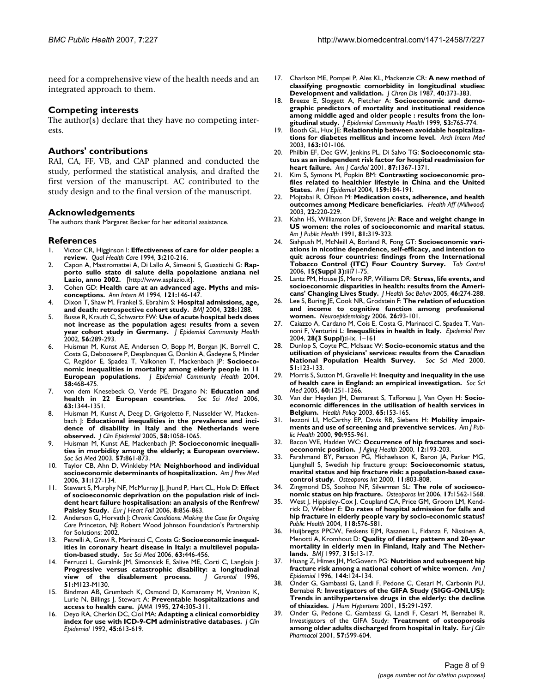need for a comprehensive view of the health needs and an integrated approach to them.

# **Competing interests**

The author(s) declare that they have no competing interests.

# **Authors' contributions**

RAI, CA, FF, VB, and CAP planned and conducted the study, performed the statistical analysis, and drafted the first version of the manuscript. AC contributed to the study design and to the final version of the manuscript.

# **Acknowledgements**

The authors thank Margaret Becker for her editorial assistance.

# **References**

- 1. Victor CR, Higginson I: **[Effectiveness of care for older people: a](http://www.ncbi.nlm.nih.gov/entrez/query.fcgi?cmd=Retrieve&db=PubMed&dopt=Abstract&list_uids=10140236) [review.](http://www.ncbi.nlm.nih.gov/entrez/query.fcgi?cmd=Retrieve&db=PubMed&dopt=Abstract&list_uids=10140236)** *Qual Health Care* 1994, **3:**210-216.
- 2. Capon A, Mastromattei A, Di Lallo A, Simeoni S, Guasticchi G: **Rapporto sullo stato di salute della popolazione anziana nel Lazio, anno 2002.** [\[http://www.asplazio.it](http://www.asplazio.it)].
- 3. Cohen GD: **Health care at an advanced age. Myths and misconceptions.** *Ann Intern M* 1994, **121:**146-147.
- 4. Dixon T, Shaw M, Frankel S, Ebrahim S: **[Hospital admissions, age,](http://www.ncbi.nlm.nih.gov/entrez/query.fcgi?cmd=Retrieve&db=PubMed&dopt=Abstract&list_uids=15090442) [and death: retrospective cohort study.](http://www.ncbi.nlm.nih.gov/entrez/query.fcgi?cmd=Retrieve&db=PubMed&dopt=Abstract&list_uids=15090442)** *BMJ* 2004, **328:**1288.
- 5. Busse R, Krauth C, Schwartz FW: **[Use of acute hospital beds does](http://www.ncbi.nlm.nih.gov/entrez/query.fcgi?cmd=Retrieve&db=PubMed&dopt=Abstract&list_uids=11896137) [not increase as the population ages: results from a seven](http://www.ncbi.nlm.nih.gov/entrez/query.fcgi?cmd=Retrieve&db=PubMed&dopt=Abstract&list_uids=11896137) [year cohort study in Germany.](http://www.ncbi.nlm.nih.gov/entrez/query.fcgi?cmd=Retrieve&db=PubMed&dopt=Abstract&list_uids=11896137)** *J Epidemiol Community Health* 2002, **56:**289-293.
- Huisman M, Kunst AE, Andersen O, Bopp M, Borgan JK, Borrell C, Costa G, Deboosere P, Desplanques G, Donkin A, Gadeyne S, Minder C, Regidor E, Spadea T, Valkonen T, Mackenbach JP: **[Socioeco](http://www.ncbi.nlm.nih.gov/entrez/query.fcgi?cmd=Retrieve&db=PubMed&dopt=Abstract&list_uids=15143114)[nomic inequalities in mortality among elderly people in 11](http://www.ncbi.nlm.nih.gov/entrez/query.fcgi?cmd=Retrieve&db=PubMed&dopt=Abstract&list_uids=15143114) [European populations.](http://www.ncbi.nlm.nih.gov/entrez/query.fcgi?cmd=Retrieve&db=PubMed&dopt=Abstract&list_uids=15143114)** *J Epidemiol Community Health* 2004, **58:**468-475.
- von dem Knesebeck O, Verde PE, Dragano N: **[Education and](http://www.ncbi.nlm.nih.gov/entrez/query.fcgi?cmd=Retrieve&db=PubMed&dopt=Abstract&list_uids=16698158)**<br>health in 22 European countries. Soc Sci Med 2006, **[health in 22 European countries.](http://www.ncbi.nlm.nih.gov/entrez/query.fcgi?cmd=Retrieve&db=PubMed&dopt=Abstract&list_uids=16698158) 63:**1344-1351.
- Huisman M, Kunst A, Deeg D, Grigoletto F, Nusselder W, Mackenbach J: **[Educational inequalities in the prevalence and inci](http://www.ncbi.nlm.nih.gov/entrez/query.fcgi?cmd=Retrieve&db=PubMed&dopt=Abstract&list_uids=16168352)[dence of disability in Italy and the Netherlands were](http://www.ncbi.nlm.nih.gov/entrez/query.fcgi?cmd=Retrieve&db=PubMed&dopt=Abstract&list_uids=16168352) [observed.](http://www.ncbi.nlm.nih.gov/entrez/query.fcgi?cmd=Retrieve&db=PubMed&dopt=Abstract&list_uids=16168352)** *J Clin Epidemiol* 2005, **58:**1058-1065.
- 9. Huisman M, Kunst AE, Mackenbach JP: **[Socioeconomic inequali](http://www.ncbi.nlm.nih.gov/entrez/query.fcgi?cmd=Retrieve&db=PubMed&dopt=Abstract&list_uids=12850111)[ties in morbidity among the elderly; a European overview.](http://www.ncbi.nlm.nih.gov/entrez/query.fcgi?cmd=Retrieve&db=PubMed&dopt=Abstract&list_uids=12850111)** *Soc Sci Med* 2003, **57:**861-873.
- 10. Taylor CB, Ahn D, Winkleby MA: **[Neighborhood and individual](http://www.ncbi.nlm.nih.gov/entrez/query.fcgi?cmd=Retrieve&db=PubMed&dopt=Abstract&list_uids=16829329) [socioeconomic determinants of hospitalization.](http://www.ncbi.nlm.nih.gov/entrez/query.fcgi?cmd=Retrieve&db=PubMed&dopt=Abstract&list_uids=16829329)** *Am J Prev Med* 2006, **31:**127-134.
- 11. Stewart S, Murphy NF, McMurray JJ, Jhund P, Hart CL, Hole D: **[Effect](http://www.ncbi.nlm.nih.gov/entrez/query.fcgi?cmd=Retrieve&db=PubMed&dopt=Abstract&list_uids=16713336) of socioeconomic deprivation on the population risk of inci[dent heart failure hospitalisation: an analysis of the Renfrew/](http://www.ncbi.nlm.nih.gov/entrez/query.fcgi?cmd=Retrieve&db=PubMed&dopt=Abstract&list_uids=16713336) [Paisley Study.](http://www.ncbi.nlm.nih.gov/entrez/query.fcgi?cmd=Retrieve&db=PubMed&dopt=Abstract&list_uids=16713336)** *Eur J Heart Fail* 2006, **8:**856-863.
- 12. Anderson G, Horvath J: *Chronic Conditions: Making the Case for Ongoing Care* Princeton, NJ: Robert Wood Johnson Foundation's Partnership for Solutions; 2002.
- 13. Petrelli A, Gnavi R, Marinacci C, Costa G: **[Socioeconomic inequal](http://www.ncbi.nlm.nih.gov/entrez/query.fcgi?cmd=Retrieve&db=PubMed&dopt=Abstract&list_uids=16519980)[ities in coronary heart disease in Italy: a multilevel popula](http://www.ncbi.nlm.nih.gov/entrez/query.fcgi?cmd=Retrieve&db=PubMed&dopt=Abstract&list_uids=16519980)[tion-based study.](http://www.ncbi.nlm.nih.gov/entrez/query.fcgi?cmd=Retrieve&db=PubMed&dopt=Abstract&list_uids=16519980)** *Soc Sci Med* 2006, **63:**446-456.
- Ferrucci L, Guralnik JM, Simonsick E, Salive ME, Corti C, Langlois J: **Progressive versus catastrophic disability: a longitudinal view of the disablement process.** I Gerontol 1996. view of the disablement process. **51:**M123-M130.
- 15. Bindman AB, Grumbach K, Osmond D, Komaromy M, Vranizan K, Lurie N, Billings J, Stewart A: **[Preventable hospitalizations and](http://www.ncbi.nlm.nih.gov/entrez/query.fcgi?cmd=Retrieve&db=PubMed&dopt=Abstract&list_uids=7609259) [access to health care.](http://www.ncbi.nlm.nih.gov/entrez/query.fcgi?cmd=Retrieve&db=PubMed&dopt=Abstract&list_uids=7609259)** *JAMA* 1995, **274:**305-311.
- 16. Deyo RA, Cherkin DC, Ciol MA: **[Adapting a clinical comorbidity](http://www.ncbi.nlm.nih.gov/entrez/query.fcgi?cmd=Retrieve&db=PubMed&dopt=Abstract&list_uids=1607900) [index for use with ICD-9-CM administrative databases.](http://www.ncbi.nlm.nih.gov/entrez/query.fcgi?cmd=Retrieve&db=PubMed&dopt=Abstract&list_uids=1607900)** *J Clin Epidemiol* 1992, **45:**613-619.
- 17. Charlson ME, Pompei P, Ales KL, Mackenzie CR: **[A new method of](http://www.ncbi.nlm.nih.gov/entrez/query.fcgi?cmd=Retrieve&db=PubMed&dopt=Abstract&list_uids=3558716) [classifying prognostic comorbidity in longitudinal studies:](http://www.ncbi.nlm.nih.gov/entrez/query.fcgi?cmd=Retrieve&db=PubMed&dopt=Abstract&list_uids=3558716) [Development and validation.](http://www.ncbi.nlm.nih.gov/entrez/query.fcgi?cmd=Retrieve&db=PubMed&dopt=Abstract&list_uids=3558716)** *J Chron Dis* 1987, **40:**373-383.
- 18. Breeze E, Sloggett A, Fletcher A: **[Socioeconomic and demo](http://www.ncbi.nlm.nih.gov/entrez/query.fcgi?cmd=Retrieve&db=PubMed&dopt=Abstract&list_uids=10656085)graphic predictors of mortality and institutional residence [among middle aged and older people : results from the lon](http://www.ncbi.nlm.nih.gov/entrez/query.fcgi?cmd=Retrieve&db=PubMed&dopt=Abstract&list_uids=10656085)[gitudinal study.](http://www.ncbi.nlm.nih.gov/entrez/query.fcgi?cmd=Retrieve&db=PubMed&dopt=Abstract&list_uids=10656085)** *J Epidemiol Community Health* 1999, **53:**765-774.
- 19. Booth GL, Hux JE: **[Relationship between avoidable hospitaliza](http://www.ncbi.nlm.nih.gov/entrez/query.fcgi?cmd=Retrieve&db=PubMed&dopt=Abstract&list_uids=12523923)[tions for diabetes mellitus and income level.](http://www.ncbi.nlm.nih.gov/entrez/query.fcgi?cmd=Retrieve&db=PubMed&dopt=Abstract&list_uids=12523923)** *Arch Intern Med* 2003, **163:**101-106.
- 20. Philbin EF, Dec GW, Jenkins PL, Di Salvo TG: **[Socioeconomic sta](http://www.ncbi.nlm.nih.gov/entrez/query.fcgi?cmd=Retrieve&db=PubMed&dopt=Abstract&list_uids=11397355)[tus as an independent risk factor for hospital readmission for](http://www.ncbi.nlm.nih.gov/entrez/query.fcgi?cmd=Retrieve&db=PubMed&dopt=Abstract&list_uids=11397355) [heart failure.](http://www.ncbi.nlm.nih.gov/entrez/query.fcgi?cmd=Retrieve&db=PubMed&dopt=Abstract&list_uids=11397355)** *Am J Cardiol* 2001, **87:**1367-1371.
- 21. Kim S, Symons M, Popkin BM: **[Contrasting socioeconomic pro](http://www.ncbi.nlm.nih.gov/entrez/query.fcgi?cmd=Retrieve&db=PubMed&dopt=Abstract&list_uids=14718221)[files related to healthier lifestyle in China and the United](http://www.ncbi.nlm.nih.gov/entrez/query.fcgi?cmd=Retrieve&db=PubMed&dopt=Abstract&list_uids=14718221) [States.](http://www.ncbi.nlm.nih.gov/entrez/query.fcgi?cmd=Retrieve&db=PubMed&dopt=Abstract&list_uids=14718221)** *Am J Epidemiol* 2004, **159:**184-191.
- 22. Mojtabai R, Olfson M: **[Medication costs, adherence, and health](http://www.ncbi.nlm.nih.gov/entrez/query.fcgi?cmd=Retrieve&db=PubMed&dopt=Abstract&list_uids=12889771) [outcomes among Medicare beneficiaries.](http://www.ncbi.nlm.nih.gov/entrez/query.fcgi?cmd=Retrieve&db=PubMed&dopt=Abstract&list_uids=12889771)** *Health Aff (Millwood)* 2003, **22:**220-229.
- 23. Kahn HS, Williamson DF, Stevens JA: **[Race and weight change in](http://www.ncbi.nlm.nih.gov/entrez/query.fcgi?cmd=Retrieve&db=PubMed&dopt=Abstract&list_uids=2036117) [US women: the roles of socioeconomic and marital status.](http://www.ncbi.nlm.nih.gov/entrez/query.fcgi?cmd=Retrieve&db=PubMed&dopt=Abstract&list_uids=2036117)** *Am J Public Health* 1991, **81:**319-323.
- 24. Siahpush M, McNeill A, Borland R, Fong GT: **[Socioeconomic vari](http://www.ncbi.nlm.nih.gov/entrez/query.fcgi?cmd=Retrieve&db=PubMed&dopt=Abstract&list_uids=16754950)ations in nicotine dependence, self-efficacy, and intention to [quit across four countries: findings from the International](http://www.ncbi.nlm.nih.gov/entrez/query.fcgi?cmd=Retrieve&db=PubMed&dopt=Abstract&list_uids=16754950) [Tobacco Control \(ITC\) Four Country Survey.](http://www.ncbi.nlm.nih.gov/entrez/query.fcgi?cmd=Retrieve&db=PubMed&dopt=Abstract&list_uids=16754950)** *Tob Control* 2006, **15(Suppl 3):**iii71-75.
- 25. Lantz PM, House JS, Mero RP, Williams DR: **[Stress, life events, and](http://www.ncbi.nlm.nih.gov/entrez/query.fcgi?cmd=Retrieve&db=PubMed&dopt=Abstract&list_uids=16259149) [socioeconomic disparities in health: results from the Ameri](http://www.ncbi.nlm.nih.gov/entrez/query.fcgi?cmd=Retrieve&db=PubMed&dopt=Abstract&list_uids=16259149)[cans' Changing Lives Study.](http://www.ncbi.nlm.nih.gov/entrez/query.fcgi?cmd=Retrieve&db=PubMed&dopt=Abstract&list_uids=16259149)** *J Health Soc Behav* 2005, **46:**274-288.
- 26. Lee S, Buring JE, Cook NR, Grodstein F: **[The relation of education](http://www.ncbi.nlm.nih.gov/entrez/query.fcgi?cmd=Retrieve&db=PubMed&dopt=Abstract&list_uids=16352912) [and income to cognitive function among professional](http://www.ncbi.nlm.nih.gov/entrez/query.fcgi?cmd=Retrieve&db=PubMed&dopt=Abstract&list_uids=16352912) [women.](http://www.ncbi.nlm.nih.gov/entrez/query.fcgi?cmd=Retrieve&db=PubMed&dopt=Abstract&list_uids=16352912)** *Neuroepidemiology* 2006, **26:**93-101.
- 27. Caiazzo A, Cardano M, Cois E, Costa G, Marinacci C, Spadea T, Vannoni F, Venturini L: **[Inequalities in health in Italy.](http://www.ncbi.nlm.nih.gov/entrez/query.fcgi?cmd=Retrieve&db=PubMed&dopt=Abstract&list_uids=15537046)** *Epidemiol Prev* 2004, **28(3 Suppl):**i-ix. 1–161
- 28. Dunlop S, Coyte PC, McIsaac W: **[Socio-economic status and the](http://www.ncbi.nlm.nih.gov/entrez/query.fcgi?cmd=Retrieve&db=PubMed&dopt=Abstract&list_uids=10817475) [utilisation of physicians' services: results from the Canadian](http://www.ncbi.nlm.nih.gov/entrez/query.fcgi?cmd=Retrieve&db=PubMed&dopt=Abstract&list_uids=10817475) [National Population Health Survey.](http://www.ncbi.nlm.nih.gov/entrez/query.fcgi?cmd=Retrieve&db=PubMed&dopt=Abstract&list_uids=10817475)** *Soc Sci Med* 2000, **51:**123-133.
- 29. Morris S, Sutton M, Gravelle H: **[Inequity and inequality in the use](http://www.ncbi.nlm.nih.gov/entrez/query.fcgi?cmd=Retrieve&db=PubMed&dopt=Abstract&list_uids=15626522) [of health care in England: an empirical investigation.](http://www.ncbi.nlm.nih.gov/entrez/query.fcgi?cmd=Retrieve&db=PubMed&dopt=Abstract&list_uids=15626522)** *Soc Sci Med* 2005, **60:**1251-1266.
- 30. Van der Heyden JH, Demarest S, Tafforeau J, Van Oyen H: **[Socio](http://www.ncbi.nlm.nih.gov/entrez/query.fcgi?cmd=Retrieve&db=PubMed&dopt=Abstract&list_uids=12849914)[economic differences in the utilisation of health services in](http://www.ncbi.nlm.nih.gov/entrez/query.fcgi?cmd=Retrieve&db=PubMed&dopt=Abstract&list_uids=12849914) [Belgium.](http://www.ncbi.nlm.nih.gov/entrez/query.fcgi?cmd=Retrieve&db=PubMed&dopt=Abstract&list_uids=12849914)** *Health Policy* 2003, **65:**153-165.
- 31. Iezzoni LI, McCarthy EP, Davis RB, Siebens H: **[Mobility impair](http://www.ncbi.nlm.nih.gov/entrez/query.fcgi?cmd=Retrieve&db=PubMed&dopt=Abstract&list_uids=10846515)[ments and use of screening and preventive services.](http://www.ncbi.nlm.nih.gov/entrez/query.fcgi?cmd=Retrieve&db=PubMed&dopt=Abstract&list_uids=10846515)** *Am J Public Health* 2000, **90:**955-961.
- 32. Bacon WE, Hadden WC: **[Occurrence of hip fractures and soci](http://www.ncbi.nlm.nih.gov/entrez/query.fcgi?cmd=Retrieve&db=PubMed&dopt=Abstract&list_uids=11010696)[oeconomic position.](http://www.ncbi.nlm.nih.gov/entrez/query.fcgi?cmd=Retrieve&db=PubMed&dopt=Abstract&list_uids=11010696)** *J Aging Health* 2000, **12:**193-203.
- 33. Farahmand BY, Persson PG, Michaelsson K, Baron JA, Parker MG, Ljunghall S, Swedish hip fracture group: **[Socioeconomic status,](http://www.ncbi.nlm.nih.gov/entrez/query.fcgi?cmd=Retrieve&db=PubMed&dopt=Abstract&list_uids=11148808) [marital status and hip fracture risk: a population-based case](http://www.ncbi.nlm.nih.gov/entrez/query.fcgi?cmd=Retrieve&db=PubMed&dopt=Abstract&list_uids=11148808)[control study.](http://www.ncbi.nlm.nih.gov/entrez/query.fcgi?cmd=Retrieve&db=PubMed&dopt=Abstract&list_uids=11148808)** *Osteoporos Int* 2000, **11:**803-808.
- 34. Zingmond DS, Soohoo NF, Silverman SL: **[The role of socioeco](http://www.ncbi.nlm.nih.gov/entrez/query.fcgi?cmd=Retrieve&db=PubMed&dopt=Abstract&list_uids=16775669)[nomic status on hip fracture.](http://www.ncbi.nlm.nih.gov/entrez/query.fcgi?cmd=Retrieve&db=PubMed&dopt=Abstract&list_uids=16775669)** *Osteoporos Int* 2006, **17:**1562-1568.
- 35. West J, Hippisley-Cox J, Coupland CA, Price GM, Groom LM, Kendrick D, Webber E: **[Do rates of hospital admission for falls and](http://www.ncbi.nlm.nih.gov/entrez/query.fcgi?cmd=Retrieve&db=PubMed&dopt=Abstract&list_uids=15530938) [hip fracture in elderly people vary by socio-economic status?](http://www.ncbi.nlm.nih.gov/entrez/query.fcgi?cmd=Retrieve&db=PubMed&dopt=Abstract&list_uids=15530938)** *Public Health* 2004, **118:**576-581.
- 36. Huijbregts PPCW, Feskens EJM, Rasanen L, Fidanza F, Nissinen A, Menotti A, Kromhout D: **[Quality of dietary pattern and 20-year](http://www.ncbi.nlm.nih.gov/entrez/query.fcgi?cmd=Retrieve&db=PubMed&dopt=Abstract&list_uids=9233319) [mortality in elderly men in Finland, Italy and The Nether](http://www.ncbi.nlm.nih.gov/entrez/query.fcgi?cmd=Retrieve&db=PubMed&dopt=Abstract&list_uids=9233319)[lands.](http://www.ncbi.nlm.nih.gov/entrez/query.fcgi?cmd=Retrieve&db=PubMed&dopt=Abstract&list_uids=9233319)** *BMJ* 1997, **315:**13-17.
- 37. Huang Z, Himes JH, McGovern PG: **[Nutrition and subsequent hip](http://www.ncbi.nlm.nih.gov/entrez/query.fcgi?cmd=Retrieve&db=PubMed&dopt=Abstract&list_uids=8678043) [fracture risk among a national cohort of white women.](http://www.ncbi.nlm.nih.gov/entrez/query.fcgi?cmd=Retrieve&db=PubMed&dopt=Abstract&list_uids=8678043)** *Am J Epidemiol* 1996, **144:**124-134.
- 38. Onder G, Gambassi G, Landi F, Pedone C, Cesari M, Carbonin PU, Bernabei R: **[Investigators of the GIFA Study \(SIGG-ONLUS\):](http://www.ncbi.nlm.nih.gov/entrez/query.fcgi?cmd=Retrieve&db=PubMed&dopt=Abstract&list_uids=11378830) [Trends in antihypertensive drugs in the elderly: the decline](http://www.ncbi.nlm.nih.gov/entrez/query.fcgi?cmd=Retrieve&db=PubMed&dopt=Abstract&list_uids=11378830) [of thiazides.](http://www.ncbi.nlm.nih.gov/entrez/query.fcgi?cmd=Retrieve&db=PubMed&dopt=Abstract&list_uids=11378830)** *J Hum Hypertens* 2001, **15:**291-297.
- 39. Onder G, Pedone C, Gambassi G, Landi F, Cesari M, Bernabei R, Investigators of the GIFA Study: **[Treatment of osteoporosis](http://www.ncbi.nlm.nih.gov/entrez/query.fcgi?cmd=Retrieve&db=PubMed&dopt=Abstract&list_uids=11758639) [among older adults discharged from hospital in Italy.](http://www.ncbi.nlm.nih.gov/entrez/query.fcgi?cmd=Retrieve&db=PubMed&dopt=Abstract&list_uids=11758639)** *Eur J Clin Pharmacol* 2001, **57:**599-604.